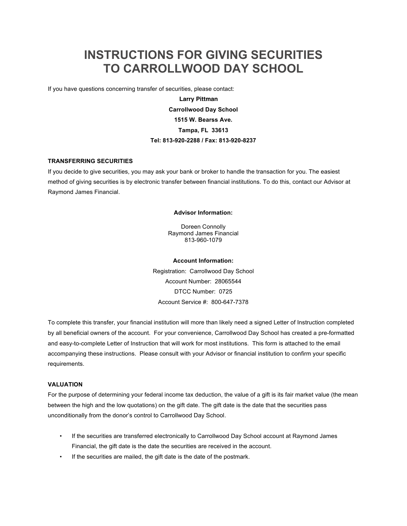# **INSTRUCTIONS FOR GIVING SECURITIES TO CARROLLWOOD DAY SCHOOL**

If you have questions concerning transfer of securities, please contact:

**Steve Golden Larry PittmanCarrollwood Day School 1515 W. Bearss Ave. Tampa, FL 33613 Tel: 813-920-2288 / Fax: 813-920-8237**

#### **TRANSFERRING SECURITIES**

If you decide to give securities, you may ask your bank or broker to handle the transaction for you. The easiest method of giving securities is by electronic transfer between financial institutions. To do this, contact our Advisor at Raymond James Financial.

#### **Advisor Information:**

Doreen Connolly Raymond James Financial 813-960-1079

**Account Information:** Registration: Carrollwood Day School Account Number: 28065544 DTCC Number: 0725 Account Service #: 800-647-7378

To complete this transfer, your financial institution will more than likely need a signed Letter of Instruction completed by all beneficial owners of the account. For your convenience, Carrollwood Day School has created a pre-formatted and easy-to-complete Letter of Instruction that will work for most institutions. This form is attached to the email accompanying these instructions. Please consult with your Advisor or financial institution to confirm your specific requirements.

#### **VALUATION**

For the purpose of determining your federal income tax deduction, the value of a gift is its fair market value (the mean between the high and the low quotations) on the gift date. The gift date is the date that the securities pass unconditionally from the donor's control to Carrollwood Day School.

- If the securities are transferred electronically to Carrollwood Day School account at Raymond James Financial, the gift date is the date the securities are received in the account.
- If the securities are mailed, the gift date is the date of the postmark.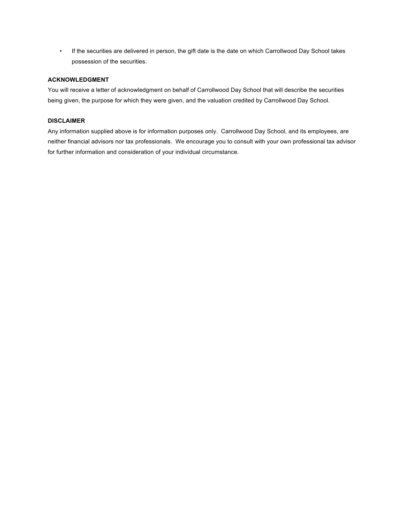• If the securities are delivered in person, the gift date is the date on which Carrollwood Day School takes possession of the securities.

### **ACKNOWLEDGMENT**

You will receive a letter of acknowledgment on behalf of Carrollwood Day School that will describe the securities being given, the purpose for which they were given, and the valuation credited by Carrollwood Day School.

## **DISCLAIMER**

Any information supplied above is for information purposes only. Carrollwood Day School, and its employees, are neither financial advisors nor tax professionals. We encourage you to consult with your own professional tax advisor for further information and consideration of your individual circumstance.